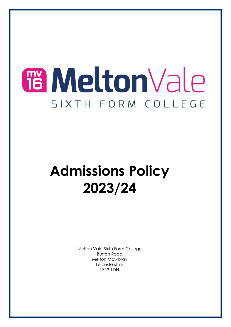# TB Melton Vale SIXTH FORM COLLEGE

# **Admissions Policy 2023/24**

Melton Vale Sixth Form College Burton Road Melton Mowbray Leicestershire LE13 1DN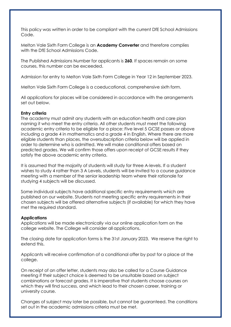This policy was written in order to be compliant with the current DfE School Admissions Code.

Melton Vale Sixth Form College is an **Academy Converter** and therefore complies with the DfE School Admissions Code.

The Published Admissions Number for applicants is **260**. If spaces remain on some courses, this number can be exceeded.

Admission for entry to Melton Vale Sixth Form College in Year 12 in September 2023.

Melton Vale Sixth Form College is a coeducational, comprehensive sixth form.

All applications for places will be considered in accordance with the arrangements set out below.

# **Entry criteria**

The academy must admit any students with an education health and care plan naming it who meet the entry criteria. All other students must meet the following academic entry criteria to be eligible for a place: Five level 5 GCSE passes or above including a grade 4 in mathematics and a grade 4 in English. Where there are more eligible students than places, the oversubscription criteria below will be applied in order to determine who is admitted. We will make conditional offers based on predicted grades. We will confirm those offers upon receipt of GCSE results if they satisfy the above academic entry criteria.

It is assumed that the majority of students will study for three A-levels. If a student wishes to study 4 rather than 3 A Levels, students will be invited to a course guidance meeting with a member of the senior leadership team where their rationale for studying 4 subjects will be discussed.

Some individual subjects have additional specific entry requirements which are published on our website. Students not meeting specific entry requirements in their chosen subjects will be offered alternative subjects (if available) for which they have met the required standard.

# **Applications**

Applications will be made electronically via our online application form on the college website. The College will consider all applications.

The closing date for application forms is the 31st January 2023. We reserve the right to extend this.

Applicants will receive confirmation of a conditional offer by post for a place at the college.

On receipt of an offer letter, students may also be called for a Course Guidance meeting if their subject choice is deemed to be unsuitable based on subject combinations or forecast grades. It is imperative that students choose courses on which they will find success, and which lead to their chosen career, training or university course.

Changes of subject may later be possible, but cannot be guaranteed. The conditions set out in the academic admissions criteria must be met.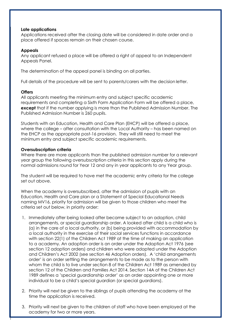#### **Late applications**

Applications received after the closing date will be considered in date order and a place offered if spaces remain on their chosen course.

#### **Appeals**

Any applicant refused a place will be offered a right of appeal to an Independent Appeals Panel.

The determination of the appeal panel is binding on all parties.

Full details of the procedure will be sent to parents/carers with the decision letter.

#### **Offers**

All applicants meeting the minimum entry and subject specific academic requirements and completing a Sixth Form Application Form will be offered a place, **except** that if the number applying is more than the Published Admission Number. The Published Admission Number is 260 pupils.

Students with an Education, Health and Care Plan (EHCP) will be offered a place, where the college – after consultation with the Local Authority – has been named on the EHCP as the appropriate post-16 provision. They will still need to meet the minimum entry and subject specific academic requirements.

#### **Oversubscription criteria**

Where there are more applicants than the published admission number for a relevant year group the following oversubscription criteria in this section apply during the normal admissions round for Year 12 and any in year applicants to any Year group.

The student will be required to have met the academic entry criteria for the college set out above.

When the academy is oversubscribed, after the admission of pupils with an Education, Health and Care plan or a Statement of Special Educational Needs naming MV16, priority for admission will be given to those children who meet the criteria set out below, in priority order:

- 1. Immediately after being looked after became subject to an adoption, child arrangements, or special guardianship order. A looked after child is a child who is (a) in the care of a local authority, or (b) being provided with accommodation by a local authority in the exercise of their social services functions in accordance with section 22(1) of the Children Act 1989 at the time of making an application to a academy. An adoption order is an order under the Adoption Act 1976 (see section 12 adoption orders) and children who were adopted under the Adoption and Children's Act 2002 (see section 46 Adoption orders). A 'child arrangements order' is an order settling the arrangements to be made as to the person with whom the child is to live under section 8 of the Children Act 1989 as amended by section 12 of the Children and Families Act 2014. Section 14A of the Children Act 1989 defines a 'special guardianship order' as an order appointing one or more individual to be a child's special guardian (or special guardians).
- 2. Priority will next be given to the siblings of pupils attending the academy at the time the application is received.
- 3. Priority will next be given to the children of staff who have been employed at the academy for two or more years.